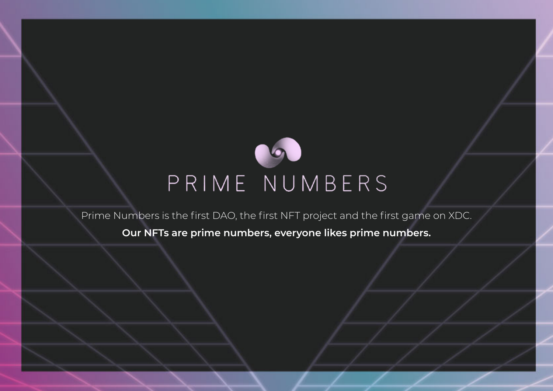

# PRIME NUMBERS

Prime Numbers is the first DAO, the first NFT project and the first game on XDC.

**Our NFTs are prime numbers, everyone likes prime numbers.**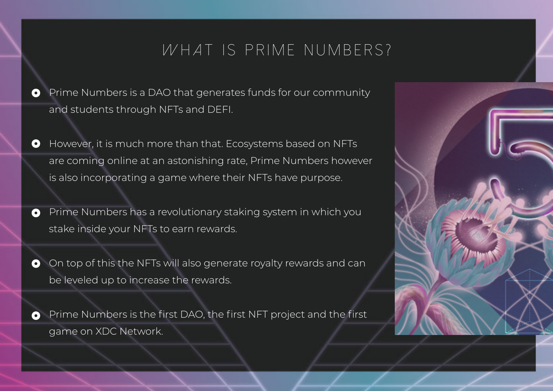## *W* H A T IS P R I M E N U M B E R S ?

- Prime Numbers is a DAO that generates funds for our community  $\bullet$ and students through NFTs and DEFI.
- However, it is much more than that. Ecosystems based on NFTs  $\bullet$ are coming online at an astonishing rate, Prime Numbers however is also incorporating a game where their NFTs have purpose.
- Prime Numbers has a revolutionary staking system in which you  $\bullet$ stake inside your NFTs to earn rewards.
- On top of this the NFTs will also generate royalty rewards and can  $\bullet$ be leveled up to increase the rewards.
- Prime Numbers is the first DAO, the first NFT project and the first  $\bullet$ game on XDC Network.

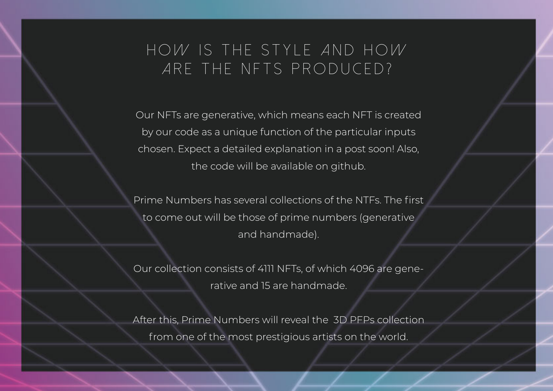## *How is the style and how are the NFTs produced?*

Our NFTs are generative, which means each NFT is created by our code as a unique function of the particular inputs chosen. Expect a detailed explanation in a post soon! Also, the code will be available on github.

Prime Numbers has several collections of the NTFs. The first to come out will be those of prime numbers (generative and handmade).

Our collection consists of 4111 NFTs, of which 4096 are generative and 15 are handmade.

After this, Prime Numbers will reveal the 3D PFPs collection from one of the most prestigious artists on the world.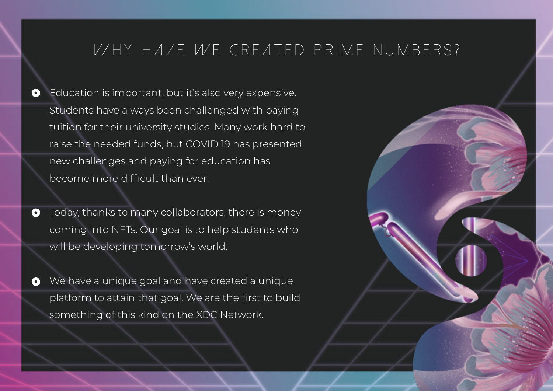### *WHY HAVE WE CREATED PRIME NUMBERS?*

Education is important, but it's also very expensive.  $\bullet$ Students have always been challenged with paying tuition for their university studies. Many work hard to raise the needed funds, but COVID 19 has presented new challenges and paying for education has become more difficult than ever.

- Today, thanks to many collaborators, there is money  $\bullet$ coming into NFTs. Our goal is to help students who will be developing tomorrow's world.
- We have a unique goal and have created a unique platform to attain that goal. We are the first to build something of this kind on the XDC Network.

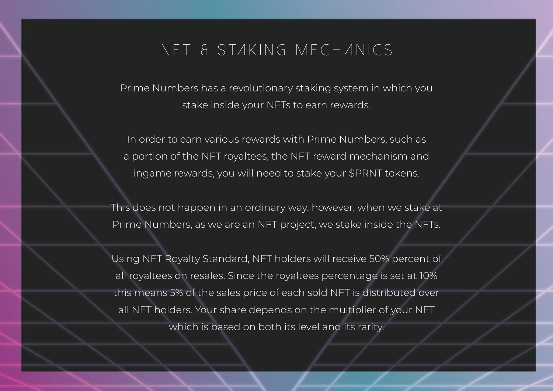### *N F T & S ta k i n g m e c h a n i c s*

Prime Numbers has a revolutionary staking system in which you stake inside your NFTs to earn rewards.

In order to earn various rewards with Prime Numbers, such as a portion of the NFT royaltees, the NFT reward mechanism and ingame rewards, you will need to stake your \$PRNT tokens.

This does not happen in an ordinary way, however, when we stake at Prime Numbers, as we are an NFT project, we stake inside the NFTs.

Using NFT Royalty Standard, NFT holders will receive 50% percent of all royaltees on resales. Since the royaltees percentage is set at 10% this means 5% of the sales price of each sold NFT is distributed over all NFT holders. Your share depends on the multiplier of your NFT which is based on both its level and its rarity.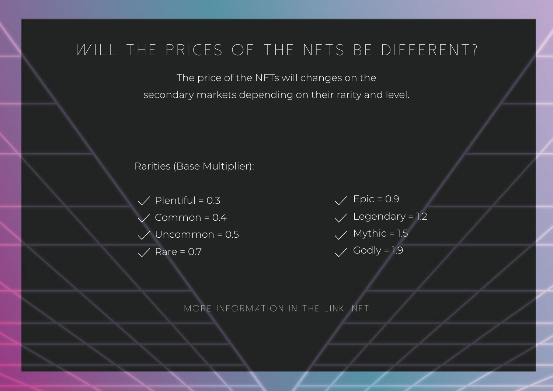### *WILL THE PRICES OF THE NFTS BE DIFFERENT?*

The price of the NFTs will changes on the secondary markets depending on their rarity and level.

Rarities (Base Multiplier):

 $\sqrt{P}$  Plentiful = 0.3 Common =  $0.4$  $\sqrt{\phantom{0}}$  Uncommon = 0.5  $\sqrt{}$  Rare = 0.7

 $\sqrt{\phantom{0}$  Epic = 0.9  $\sqrt{\phantom{0}}$  Legendary = 1.2  $\sqrt{$  Mythic = 1.5  $\checkmark$  Godly = 1.9

*More information in the link: NFT*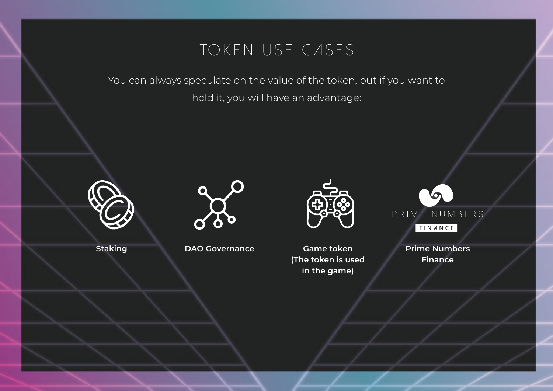## *To k e n u s e c a s e s*

You can always speculate on the value of the token, but if you want to hold it, you will have an advantage:





**Staking DAO Governance Game token**



**(The token is used in the game)**



**Prime Numbers Finance**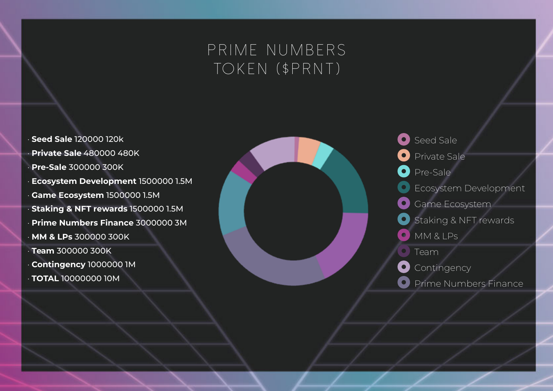## *Prime numbers to k e n ( \$ P R N T )*

• **Seed Sale** 120000 120k • **Private Sale** 480000 480K • **Pre-Sale** 300000 300K • **Ecosystem Development** 1500000 1.5M • **Game Ecosystem** 1500000 1.5M • **Staking & NFT rewards** 1500000 1.5M • **Prime Numbers Finance** 3000000 3M • **MM & LPs** 300000 300K • **Team** 300000 300K • **Contingency** 1000000 1M • **TOTAL** 10000000 10M



Seed Sale  $\bullet$  ) Private Sale Pre-Sale Ecosystem Development Game Ecosystem Staking & NFT rewards MM & LPs  $\bullet$ Team **Contingency**  $\bullet$ Prime Numbers Finance $\bullet$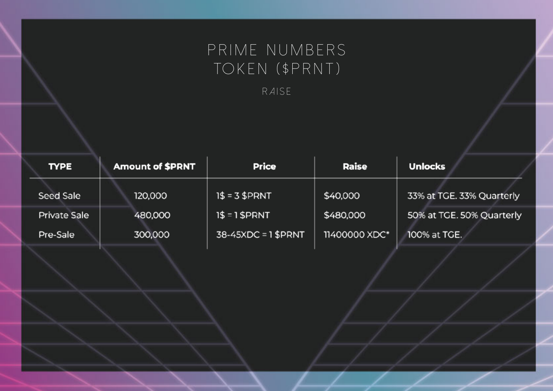## PRIME NUMBERS TOKEN (\$PRNT)

RAISE

| <b>TYPE</b>  | <b>Amount of \$PRNT</b> | <b>Price</b>          | Raise         | <b>Unlocks</b>            |
|--------------|-------------------------|-----------------------|---------------|---------------------------|
| Seed Sale    | 120,000                 | $1$ = 3 $P R N T$     | \$40,000      | 33% at TGE. 33% Quarterly |
| Private Sale | 480,000                 | $1$ = 1 $P R N T$     | \$480,000     | 50% at TGE. 50% Quarterly |
| Pre-Sale     | 300,000                 | $38-45XDC = 1$ \$PRNT | 11400000 XDC* | 100% at TGE.              |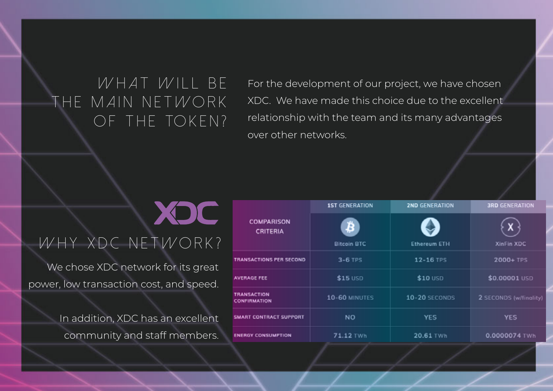## *What will be the main network* OF THE TOKEN?

**XOC** 

For the development of our project, we have chosen XDC. We have made this choice due to the excellent relationship with the team and its many advantages over other networks.

## *Why XDC network?*

We chose XDC network for its great power, low transaction cost, and speed.

> In addition, XDC has an excellent community and staff members.

|                                           | <b>1ST GENERATION</b>   | <b>2ND GENERATION</b> | <b>3RD GENERATION</b>  |
|-------------------------------------------|-------------------------|-----------------------|------------------------|
| <b>COMPARISON</b><br><b>CRITERIA</b>      | ₿<br><b>Bitcoin BTC</b> | <b>Ethereum ETH</b>   | XinFin XDC             |
| TRANSACTIONS PER SECOND                   | $3-6$ TPS               | 12-16 TPS             | 2000+ TPS              |
| <b>AVERAGE FEE</b>                        | $$15$ USD               | $$10$ USD             | \$0.00001 USD          |
| <b>TRANSACTION</b><br><b>CONFIRMATION</b> | 10-60 MINUTES           | 10-20 SECONDS         | 2 SECONDS (w/finality) |
| <b>SMART CONTRACT SUPPORT</b>             | NO                      | YES                   | <b>YES</b>             |
| <b>ENERGY CONSUMPTION</b>                 | 71.12 TWh               | 20.61 TWh             | 0.0000074 TWh          |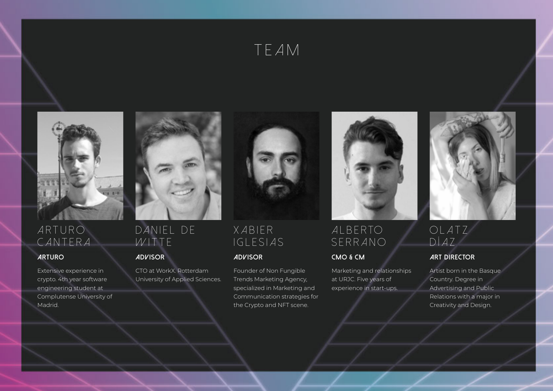



### *ARTURO CANTERA*

Extensive experience in crypto. 4th year software engineering student at Complutense University of **Madrid** 



### *DANIEL DE WITTE*

CTO at WorkX. Rotterdam University of Applied Sciences.



### *X A B I E R IGLESIAS*

Founder of Non Fungible Trends Marketing Agency, specialized in Marketing and Communication strategies for the Crypto and NFT scene.



### *A L B E R TO SERRANO*

Marketing and relationships at URJC. Five years of experience in start-ups.



### *OLATZ DÍAZ*

### **ARTURO ADVISOR ADVISOR CMO & CM ART DIRECTOR**

Artist born in the Basque Country. Degree in Advertising and Public Relations with a major in Creativity and Design.